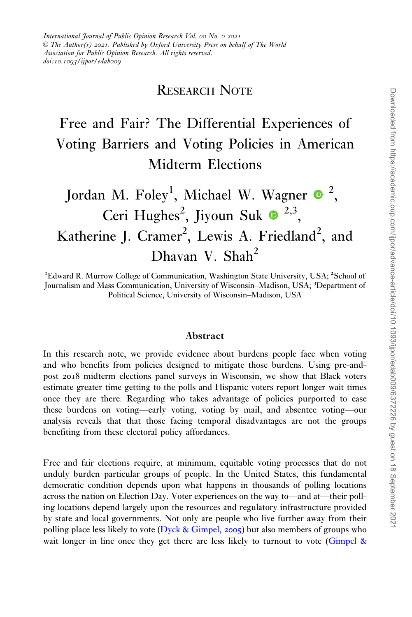### RESEARCH NOTE

## Free and Fair? The Differential Experiences of Voting Barriers and Voting Policies in American Midterm Elections

# Jordan M.  $\mathrm{Foley}^1$ , Michael W. Wagner  $\bullet$  <sup>2</sup>, Ceri Hughes<sup>2</sup>, Jiyoun Suk  $\bullet$ <sup>2,3</sup>, Katherine J. Cramer<sup>2</sup>, Lewis A. Friedland<sup>2</sup>, and Dhavan V. Shah<sup>2</sup>

<sup>1</sup>Edward R. Murrow College of Communication, Washington State University, USA; <sup>2</sup>School of Journalism and Mass Communication, University of Wisconsin–Madison, USA; <sup>3</sup> Department of Political Science, University of Wisconsin–Madison, USA

#### Abstract

In this research note, we provide evidence about burdens people face when voting and who benefits from policies designed to mitigate those burdens. Using pre-andpost 2018 midterm elections panel surveys in Wisconsin, we show that Black voters estimate greater time getting to the polls and Hispanic voters report longer wait times once they are there. Regarding who takes advantage of policies purported to ease these burdens on voting—early voting, voting by mail, and absentee voting—our analysis reveals that that those facing temporal disadvantages are not the groups benefiting from these electoral policy affordances.

Free and fair elections require, at minimum, equitable voting processes that do not unduly burden particular groups of people. In the United States, this fundamental democratic condition depends upon what happens in thousands of polling locations across the nation on Election Day. Voter experiences on the way to—and at—their polling locations depend largely upon the resources and regulatory infrastructure provided by state and local governments. Not only are people who live further away from their polling place less likely to vote ( $Dyck & Gimpel, 2005$  $Dyck & Gimpel, 2005$  $Dyck & Gimpel, 2005$ ) but also members of groups who wait longer in line once they get there are less likely to turnout to vote ([Gimpel](#page-8-0) &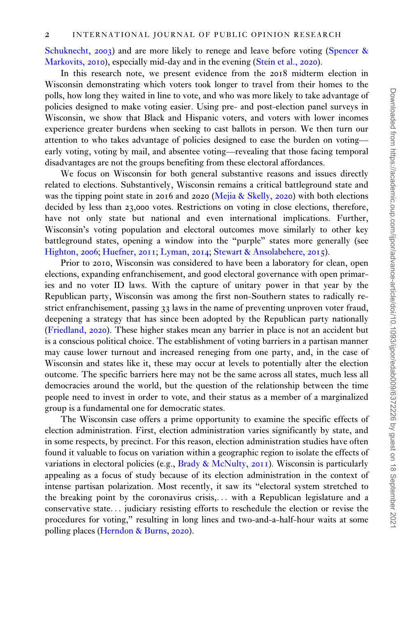[Schuknecht,](#page-8-0) 2003) and are more likely to renege and leave before voting [\(Spencer](#page-9-0) & [Markovits,](#page-9-0) 2010), especially mid-day and in the evening ([Stein et al.,](#page-9-0) 2020).

In this research note, we present evidence from the 2018 midterm election in Wisconsin demonstrating which voters took longer to travel from their homes to the polls, how long they waited in line to vote, and who was more likely to take advantage of policies designed to make voting easier. Using pre- and post-election panel surveys in Wisconsin, we show that Black and Hispanic voters, and voters with lower incomes experience greater burdens when seeking to cast ballots in person. We then turn our attention to who takes advantage of policies designed to ease the burden on voting early voting, voting by mail, and absentee voting—revealing that those facing temporal disadvantages are not the groups benefiting from these electoral affordances.

We focus on Wisconsin for both general substantive reasons and issues directly related to elections. Substantively, Wisconsin remains a critical battleground state and was the tipping point state in 2016 and 2020 ([Mejia](#page-8-0) & [Skelly,](#page-8-0) 2020) with both elections decided by less than 23,000 votes. Restrictions on voting in close elections, therefore, have not only state but national and even international implications. Further, Wisconsin's voting population and electoral outcomes move similarly to other key battleground states, opening a window into the "purple" states more generally (see [Highton,](#page-8-0) 2006; [Huefner,](#page-8-0) 2011; [Lyman,](#page-8-0) 2014; [Stewart & Ansolabehere,](#page-9-0) 2015).

Prior to 2010, Wisconsin was considered to have been a laboratory for clean, open elections, expanding enfranchisement, and good electoral governance with open primaries and no voter ID laws. With the capture of unitary power in that year by the Republican party, Wisconsin was among the first non-Southern states to radically restrict enfranchisement, passing 33 laws in the name of preventing unproven voter fraud, deepening a strategy that has since been adopted by the Republican party nationally [\(Friedland,](#page-8-0) 2020). These higher stakes mean any barrier in place is not an accident but is a conscious political choice. The establishment of voting barriers in a partisan manner may cause lower turnout and increased reneging from one party, and, in the case of Wisconsin and states like it, these may occur at levels to potentially alter the election outcome. The specific barriers here may not be the same across all states, much less all democracies around the world, but the question of the relationship between the time people need to invest in order to vote, and their status as a member of a marginalized group is a fundamental one for democratic states.

The Wisconsin case offers a prime opportunity to examine the specific effects of election administration. First, election administration varies significantly by state, and in some respects, by precinct. For this reason, election administration studies have often found it valuable to focus on variation within a geographic region to isolate the effects of variations in electoral policies (e.g., [Brady & McNulty,](#page-7-0)  $2011$ ). Wisconsin is particularly appealing as a focus of study because of its election administration in the context of intense partisan polarization. Most recently, it saw its "electoral system stretched to the breaking point by the coronavirus crisis,... with a Republican legislature and a conservative state... judiciary resisting efforts to reschedule the election or revise the procedures for voting," resulting in long lines and two-and-a-half-hour waits at some polling places ([Herndon & Burns,](#page-8-0) 2020).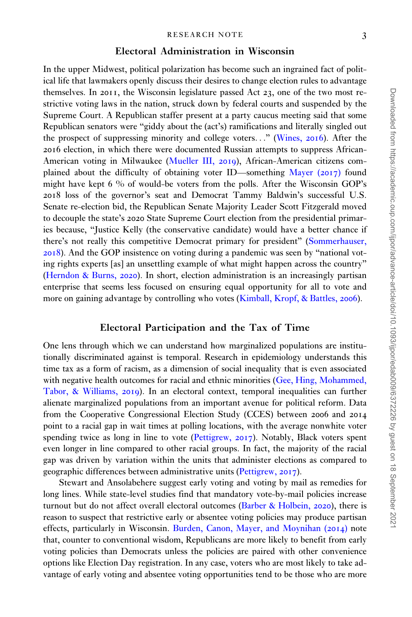#### Electoral Administration in Wisconsin

In the upper Midwest, political polarization has become such an ingrained fact of political life that lawmakers openly discuss their desires to change election rules to advantage themselves. In 2011, the Wisconsin legislature passed Act 23, one of the two most restrictive voting laws in the nation, struck down by federal courts and suspended by the Supreme Court. A Republican staffer present at a party caucus meeting said that some Republican senators were "giddy about the (act's) ramifications and literally singled out the prospect of suppressing minority and college voters..." [\(Wines,](#page-9-0) 2016). After the 2016 election, in which there were documented Russian attempts to suppress African-American voting in Milwaukee [\(Mueller III,](#page-8-0) 2019), African-American citizens complained about the difficulty of obtaining voter ID—something [Mayer \(](#page-8-0)2017) found might have kept 6 % of would-be voters from the polls. After the Wisconsin GOP's 2018 loss of the governor's seat and Democrat Tammy Baldwin's successful U.S. Senate re-election bid, the Republican Senate Majority Leader Scott Fitzgerald moved to decouple the state's 2020 State Supreme Court election from the presidential primaries because, "Justice Kelly (the conservative candidate) would have a better chance if there's not really this competitive Democrat primary for president" ([Sommerhauser,](#page-9-0) [2018](#page-9-0)). And the GOP insistence on voting during a pandemic was seen by "national voting rights experts [as] an unsettling example of what might happen across the country" [\(Herndon & Burns,](#page-8-0) 2020). In short, election administration is an increasingly partisan enterprise that seems less focused on ensuring equal opportunity for all to vote and more on gaining advantage by controlling who votes [\(Kimball, Kropf, & Battles,](#page-8-0) 2006).

#### Electoral Participation and the Tax of Time

One lens through which we can understand how marginalized populations are institutionally discriminated against is temporal. Research in epidemiology understands this time tax as a form of racism, as a dimension of social inequality that is even associated with negative health outcomes for racial and ethnic minorities [\(Gee, Hing, Mohammed,](#page-8-0) [Tabor, & Williams,](#page-8-0) 2019). In an electoral context, temporal inequalities can further alienate marginalized populations from an important avenue for political reform. Data from the Cooperative Congressional Election Study (CCES) between 2006 and 2014 point to a racial gap in wait times at polling locations, with the average nonwhite voter spending twice as long in line to vote [\(Pettigrew,](#page-9-0) 2017). Notably, Black voters spent even longer in line compared to other racial groups. In fact, the majority of the racial gap was driven by variation within the units that administer elections as compared to geographic differences between administrative units ([Pettigrew,](#page-9-0) 2017).

Stewart and Ansolabehere suggest early voting and voting by mail as remedies for long lines. While state-level studies find that mandatory vote-by-mail policies increase turnout but do not affect overall electoral outcomes [\(Barber](#page-7-0) [& Holbein,](#page-7-0) 2020), there is reason to suspect that restrictive early or absentee voting policies may produce partisan effects, particularly in Wisconsin. [Burden, Canon, Mayer, and Moynihan \(](#page-7-0)2014) note that, counter to conventional wisdom, Republicans are more likely to benefit from early voting policies than Democrats unless the policies are paired with other convenience options like Election Day registration. In any case, voters who are most likely to take advantage of early voting and absentee voting opportunities tend to be those who are more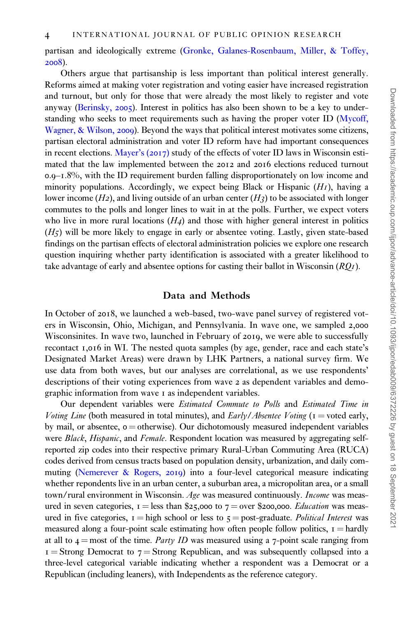partisan and ideologically extreme ([Gronke, Galanes-Rosenbaum, Miller, & Toffey,](#page-8-0) [2008](#page-8-0)).

Others argue that partisanship is less important than political interest generally. Reforms aimed at making voter registration and voting easier have increased registration and turnout, but only for those that were already the most likely to register and vote anyway ([Berinsky,](#page-7-0) 2005). Interest in politics has also been shown to be a key to understanding who seeks to meet requirements such as having the proper voter ID ([Mycoff,](#page-8-0) [Wagner, & Wilson,](#page-8-0) 2009). Beyond the ways that political interest motivates some citizens, partisan electoral administration and voter ID reform have had important consequences in recent elections. [Mayer's \(](#page-8-0)2017) study of the effects of voter ID laws in Wisconsin estimated that the law implemented between the 2012 and 2016 elections reduced turnout 0.9–1.8%, with the ID requirement burden falling disproportionately on low income and minority populations. Accordingly, we expect being Black or Hispanic  $(HI)$ , having a lower income  $(H_2)$ , and living outside of an urban center  $(H_3)$  to be associated with longer commutes to the polls and longer lines to wait in at the polls. Further, we expect voters who live in more rural locations  $(H_4)$  and those with higher general interest in politics  $(H<sub>5</sub>)$  will be more likely to engage in early or absentee voting. Lastly, given state-based findings on the partisan effects of electoral administration policies we explore one research question inquiring whether party identification is associated with a greater likelihood to take advantage of early and absentee options for casting their ballot in Wisconsin  $(RQ_I)$ .

#### Data and Methods

In October of 2018, we launched a web-based, two-wave panel survey of registered voters in Wisconsin, Ohio, Michigan, and Pennsylvania. In wave one, we sampled 2,000 Wisconsinites. In wave two, launched in February of 2019, we were able to successfully recontact 1,016 in WI. The nested quota samples (by age, gender, race and each state's Designated Market Areas) were drawn by LHK Partners, a national survey firm. We use data from both waves, but our analyses are correlational, as we use respondents' descriptions of their voting experiences from wave 2 as dependent variables and demographic information from wave 1 as independent variables.

Our dependent variables were *Estimated Commute to Polls* and *Estimated Time in* Voting Line (both measured in total minutes), and  $\frac{Early/Absolute}{V}$  (1 = voted early, by mail, or absentee,  $o =$  otherwise). Our dichotomously measured independent variables were Black, Hispanic, and Female. Respondent location was measured by aggregating selfreported zip codes into their respective primary Rural-Urban Commuting Area (RUCA) codes derived from census tracts based on population density, urbanization, and daily commuting [\(Nemerever](#page-8-0) & [Rogers,](#page-8-0) 2019) into a four-level categorical measure indicating whether repondents live in an urban center, a suburban area, a micropolitan area, or a small town/rural environment in Wisconsin. Age was measured continuously. Income was measured in seven categories,  $I =$  less than \$25,000 to  $7 =$  over \$200,000. *Education* was measured in five categories,  $I = high$  school or less to  $5 = post-gradient$ . Political Interest was measured along a four-point scale estimating how often people follow politics,  $I = \hat{h}$  hardly at all to  $4 =$  most of the time. Party ID was measured using a 7-point scale ranging from  $1 =$  Strong Democrat to  $7 =$  Strong Republican, and was subsequently collapsed into a three-level categorical variable indicating whether a respondent was a Democrat or a Republican (including leaners), with Independents as the reference category.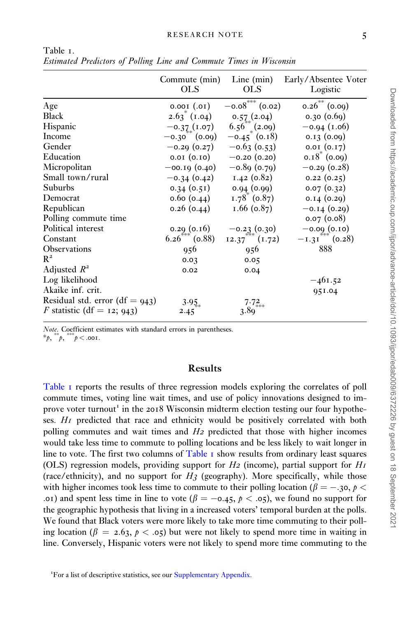|                                   | Commute (min)<br><b>OLS</b> | Line $(min)$<br><b>OLS</b> | Early/Absentee Voter<br>Logistic |
|-----------------------------------|-----------------------------|----------------------------|----------------------------------|
| Age                               | $(10.)$ 100.0               | $-0.08***$ (0.02)          | $0.26^{**}$ (0.09)               |
| <b>Black</b>                      | $2.63$ (1.04)               | 0.57(2.04)                 | 0.30(0.69)                       |
| Hispanic                          | $-0.37(1.07)$               | $6.56^{**}$ (2.09)         | $-0.94$ (1.06)                   |
| Income                            | $-0.30$ (0.09)              | $-0.45$ (0.18)             | 0.13(0.09)                       |
| Gender                            | $-0.29(0.27)$               | $-0.63$ (0.53)             | 0.01(0.17)                       |
| Education                         | 0.01 (0.10)                 | $-0.20(0.20)$              | $0.18^*$ (0.09)                  |
| Micropolitan                      | $-$ 00.19 $(0.40)$          | $-0.89(0.79)$              | $-0.29$ (0.28)                   |
| Small town/rural                  | $-0.34(0.42)$               | 1.42(0.82)                 | 0.22(0.25)                       |
| Suburbs                           | 0.34(0.51)                  | 0.94(0.99)                 | 0.07(0.32)                       |
| Democrat                          | 0.60(0.44)                  | $1.78^{\circ}$ (0.87)      | 0.14(0.29)                       |
| Republican                        | 0.26(0.44)                  | $1.66$ (0.87)              | $-0.14(0.29)$                    |
| Polling commute time              |                             |                            | 0.07(0.08)                       |
| Political interest                | 0.29(0.16)                  | $-0.23(0.30)$              | $-0.09(0.10)$                    |
| Constant                          | $6.26\qquad(0.88)$          | 12.37 (1.72)               | $-1.31$ (0.28)                   |
| <b>Observations</b>               | 956                         | 956                        | 888                              |
| $R^2$                             | 0.03                        | 0.05                       |                                  |
| Adjusted $R^2$                    | 0.02                        | 0.04                       |                                  |
| Log likelihood                    |                             |                            | $-461.52$                        |
| Akaike inf. crit.                 |                             |                            | 951.04                           |
| Residual std. error (df = $943$ ) | 3.95                        | 7.72                       |                                  |
| F statistic (df = 12; 943)        | 2.45                        | 3.80                       |                                  |

<span id="page-4-0"></span>Table 1. Estimated Predictors of Polling Line and Commute Times in Wisconsin

Note. Coefficient estimates with standard errors in parentheses. \*p,  $\psi$ ,  $\psi$ ,  $\psi$  < .001.

#### Results

Table 1 reports the results of three regression models exploring the correlates of poll commute times, voting line wait times, and use of policy innovations designed to improve voter turnout<sup>1</sup> in the 2018 Wisconsin midterm election testing our four hypotheses. H1 predicted that race and ethnicity would be positively correlated with both polling commutes and wait times and H2 predicted that those with higher incomes would take less time to commute to polling locations and be less likely to wait longer in line to vote. The first two columns of Table  $\bar{I}$  show results from ordinary least squares (OLS) regression models, providing support for  $H_2$  (income), partial support for  $H_1$ (race/ethnicity), and no support for  $H_3$  (geography). More specifically, while those with higher incomes took less time to commute to their polling location ( $\beta = -3$ ,  $p <$ .01) and spent less time in line to vote ( $\beta = -0.45$ ,  $p < .05$ ), we found no support for the geographic hypothesis that living in a increased voters' temporal burden at the polls. We found that Black voters were more likely to take more time commuting to their polling location ( $\beta = 2.63$ ,  $p < .05$ ) but were not likely to spend more time in waiting in line. Conversely, Hispanic voters were not likely to spend more time commuting to the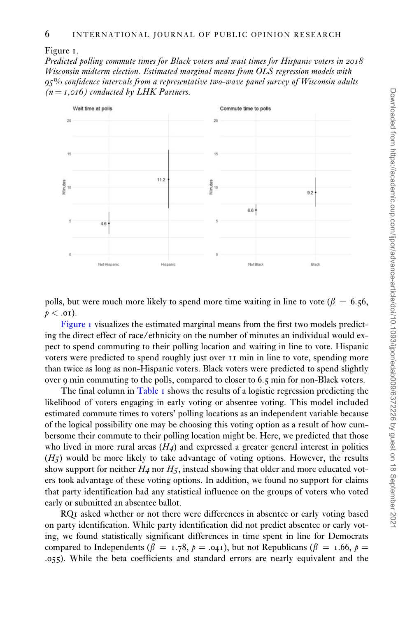Figure 1.

Predicted polling commute times for Black voters and wait times for Hispanic voters in 2018 Wisconsin midterm election. Estimated marginal means from OLS regression models with 95% confidence intervals from a representative two-wave panel survey of Wisconsin adults  $(n = I, 016)$  conducted by LHK Partners.



polls, but were much more likely to spend more time waiting in line to vote ( $\beta = 6.56$ ,  $p < .01$ ).

Figure 1 visualizes the estimated marginal means from the first two models predicting the direct effect of race/ethnicity on the number of minutes an individual would expect to spend commuting to their polling location and waiting in line to vote. Hispanic voters were predicted to spend roughly just over 11 min in line to vote, spending more than twice as long as non-Hispanic voters. Black voters were predicted to spend slightly over 9 min commuting to the polls, compared to closer to 6.5 min for non-Black voters.

The final column in [Table](#page-4-0)  $\bar{I}$  shows the results of a logistic regression predicting the likelihood of voters engaging in early voting or absentee voting. This model included estimated commute times to voters' polling locations as an independent variable because of the logical possibility one may be choosing this voting option as a result of how cumbersome their commute to their polling location might be. Here, we predicted that those who lived in more rural areas  $(H_4)$  and expressed a greater general interest in politics  $(H<sub>5</sub>)$  would be more likely to take advantage of voting options. However, the results show support for neither  $H_4$  nor  $H_5$ , instead showing that older and more educated voters took advantage of these voting options. In addition, we found no support for claims that party identification had any statistical influence on the groups of voters who voted early or submitted an absentee ballot.

RQ1 asked whether or not there were differences in absentee or early voting based on party identification. While party identification did not predict absentee or early voting, we found statistically significant differences in time spent in line for Democrats compared to Independents ( $\beta = 1.78$ ,  $p = .041$ ), but not Republicans ( $\beta = 1.66$ ,  $p =$ .055). While the beta coefficients and standard errors are nearly equivalent and the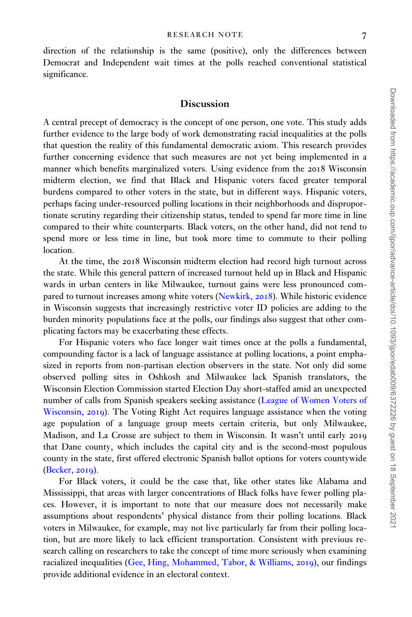direction of the relationship is the same (positive), only the differences between Democrat and Independent wait times at the polls reached conventional statistical significance.

#### Discussion

A central precept of democracy is the concept of one person, one vote. This study adds further evidence to the large body of work demonstrating racial inequalities at the polls that question the reality of this fundamental democratic axiom. This research provides further concerning evidence that such measures are not yet being implemented in a manner which benefits marginalized voters. Using evidence from the 2018 Wisconsin midterm election, we find that Black and Hispanic voters faced greater temporal burdens compared to other voters in the state, but in different ways. Hispanic voters, perhaps facing under-resourced polling locations in their neighborhoods and disproportionate scrutiny regarding their citizenship status, tended to spend far more time in line compared to their white counterparts. Black voters, on the other hand, did not tend to spend more or less time in line, but took more time to commute to their polling location.

At the time, the 2018 Wisconsin midterm election had record high turnout across the state. While this general pattern of increased turnout held up in Black and Hispanic wards in urban centers in like Milwaukee, turnout gains were less pronounced compared to turnout increases among white voters ([Newkirk,](#page-8-0) 2018). While historic evidence in Wisconsin suggests that increasingly restrictive voter ID policies are adding to the burden minority populations face at the polls, our findings also suggest that other complicating factors may be exacerbating these effects.

For Hispanic voters who face longer wait times once at the polls a fundamental, compounding factor is a lack of language assistance at polling locations, a point emphasized in reports from non-partisan election observers in the state. Not only did some observed polling sites in Oshkosh and Milwaukee lack Spanish translators, the Wisconsin Election Commission started Election Day short-staffed amid an unexpected number of calls from Spanish speakers seeking assistance [\(League of Women Voters of](#page-8-0) [Wisconsin,](#page-8-0) 2019). The Voting Right Act requires language assistance when the voting age population of a language group meets certain criteria, but only Milwaukee, Madison, and La Crosse are subject to them in Wisconsin. It wasn't until early 2019 that Dane county, which includes the capital city and is the second-most populous county in the state, first offered electronic Spanish ballot options for voters countywide [\(Becker,](#page-7-0) 2019).

For Black voters, it could be the case that, like other states like Alabama and Mississippi, that areas with larger concentrations of Black folks have fewer polling places. However, it is important to note that our measure does not necessarily make assumptions about respondents' physical distance from their polling locations. Black voters in Milwaukee, for example, may not live particularly far from their polling location, but are more likely to lack efficient transportation. Consistent with previous research calling on researchers to take the concept of time more seriously when examining racialized inequalities [\(Gee, Hing, Mohammed, Tabor,](#page-8-0) & [Williams,](#page-8-0) 2019), our findings provide additional evidence in an electoral context.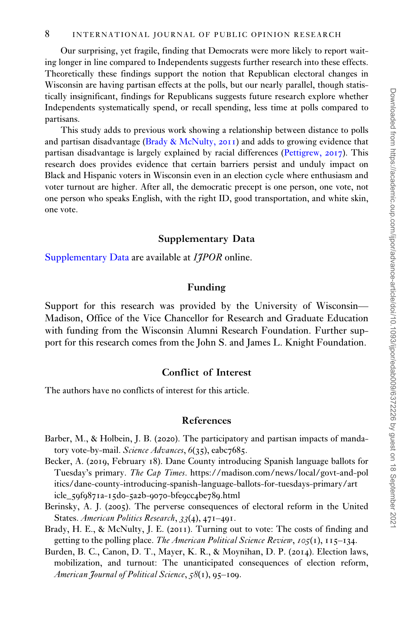<span id="page-7-0"></span>Our surprising, yet fragile, finding that Democrats were more likely to report waiting longer in line compared to Independents suggests further research into these effects. Theoretically these findings support the notion that Republican electoral changes in Wisconsin are having partisan effects at the polls, but our nearly parallel, though statistically insignificant, findings for Republicans suggests future research explore whether Independents systematically spend, or recall spending, less time at polls compared to partisans.

This study adds to previous work showing a relationship between distance to polls and partisan disadvantage (Brady & McNulty,  $2011$ ) and adds to growing evidence that partisan disadvantage is largely explained by racial differences [\(Pettigrew,](#page-9-0) 2017). This research does provides evidence that certain barriers persist and unduly impact on Black and Hispanic voters in Wisconsin even in an election cycle where enthusiasm and voter turnout are higher. After all, the democratic precept is one person, one vote, not one person who speaks English, with the right ID, good transportation, and white skin, one vote.

#### Supplementary Data

[Supplementary Data](https://academic.oup.com/ijpor/article-lookup/doi/10.1093/ijpor/edab009#supplementary-data) are available at *IIPOR* online.

#### Funding

Support for this research was provided by the University of Wisconsin— Madison, Office of the Vice Chancellor for Research and Graduate Education with funding from the Wisconsin Alumni Research Foundation. Further support for this research comes from the John S. and James L. Knight Foundation.

#### Conflict of Interest

The authors have no conflicts of interest for this article.

#### References

- Barber, M., & Holbein, J. B. (2020). The participatory and partisan impacts of mandatory vote-by-mail. Science Advances, 6(35), eabc7685.
- Becker, A. (2019, February 18). Dane County introducing Spanish language ballots for Tuesday's primary. The Cap Times. [https://madison.com/news/local/govt-and-pol](https://madison.com/news/local/govt-and-politics/dane-county-introducing-spanish-language-ballots-for-tuesdays-primary/article_59f9871a-15d0-5a2b-9070-bfe9cc4be789.html) [itics/dane-county-introducing-spanish-language-ballots-for-tuesdays-primary/art](https://madison.com/news/local/govt-and-politics/dane-county-introducing-spanish-language-ballots-for-tuesdays-primary/article_59f9871a-15d0-5a2b-9070-bfe9cc4be789.html) icle\_59f9871a-15d0-5a2b-9070-bfe9cc4be789[.html](https://madison.com/news/local/govt-and-politics/dane-county-introducing-spanish-language-ballots-for-tuesdays-primary/article_59f9871a-15d0-5a2b-9070-bfe9cc4be789.html)
- Berinsky, A. J. (2005). The perverse consequences of electoral reform in the United States. American Politics Research, 33(4), 471–491.
- Brady, H. E., & McNulty, J. E. (2011). Turning out to vote: The costs of finding and getting to the polling place. The American Political Science Review,  $105(1)$ ,  $115-134$ .
- Burden, B. C., Canon, D. T., Mayer, K. R., & Moynihan, D. P. (2014). Election laws, mobilization, and turnout: The unanticipated consequences of election reform, American Journal of Political Science, 58(1), 95-109.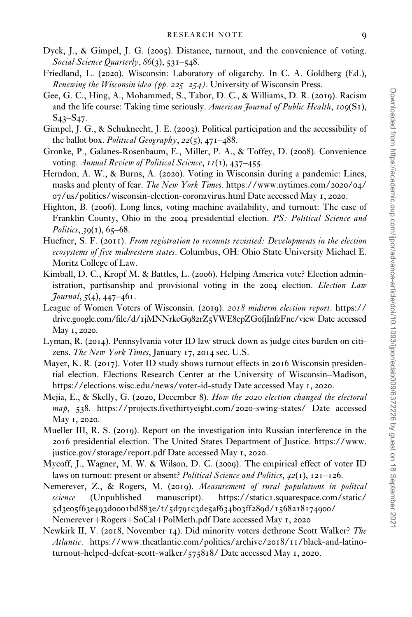- <span id="page-8-0"></span>Dyck, J., & Gimpel, J. G. (2005). Distance, turnout, and the convenience of voting. Social Science Quarterly, 86(3), 531–548.
- Friedland, L. (2020). Wisconsin: Laboratory of oligarchy. In C. A. Goldberg (Ed.), Renewing the Wisconsin idea (pp. 225–254). University of Wisconsin Press.
- Gee, G. C., Hing, A., Mohammed, S., Tabor, D. C., & Williams, D. R. (2019). Racism and the life course: Taking time seriously. American Journal of Public Health,  $100(SI)$ , S43–S47.
- Gimpel, J. G., & Schuknecht, J. E. (2003). Political participation and the accessibility of the ballot box. Political Geography,  $22(5)$ ,  $471-488$ .
- Gronke, P., Galanes-Rosenbaum, E., Miller, P. A., & Toffey, D. (2008). Convenience voting. Annual Review of Political Science, 11(1), 437–455.
- Herndon, A. W., & Burns, A. (2020). Voting in Wisconsin during a pandemic: Lines, masks and plenty of fear. The New York Times. [https://www.nytimes.com/](https://www.nytimes.com/2020/04/07/us/politics/wisconsin-election-coronavirus.html)2020/04/ 07[/us/politics/wisconsin-election-coronavirus.html Date accessed May](https://www.nytimes.com/2020/04/07/us/politics/wisconsin-election-coronavirus.html) 1, 2020.
- Highton, B. (2006). Long lines, voting machine availability, and turnout: The case of Franklin County, Ohio in the 2004 presidential election. PS: Political Science and Politics,  $39(1)$ , 65–68.
- Huefner, S. F. (2011). From registration to recounts revisited: Developments in the election ecosystems of five midwestern states. Columbus, OH: Ohio State University Michael E. Moritz College of Law.
- Kimball, D. C., Kropf M. & Battles, L. (2006). Helping America vote? Election administration, partisanship and provisional voting in the 2004 election. *Election Law*  $Journal, 5(4), 447-461.$
- League of Women Voters of Wisconsin. (2019). 2018 midterm election report. [https://](https://drive.google.com/file/d/1jMNNrkeG982rZ5VWE8cpZG0fjInfzFnc/view) drive.google.com/file/d/1jMNNrkeG982rZ5VWE8cpZG0[fjInfzFnc/view Date accessed](https://drive.google.com/file/d/1jMNNrkeG982rZ5VWE8cpZG0fjInfzFnc/view) May 1, [2020](https://drive.google.com/file/d/1jMNNrkeG982rZ5VWE8cpZG0fjInfzFnc/view).
- Lyman, R. (2014). Pennsylvania voter ID law struck down as judge cites burden on citizens. The New York Times, January 17, 2014 sec. U.S.
- Mayer, K. R. (2017). Voter ID study shows turnout effects in 2016 Wisconsin presidential election. Elections Research Center at the University of Wisconsin–Madison, [https://elections.wisc.edu/news/voter-id-study Date accessed May](https://elections.wisc.edu/news/voter-id-study) 1, 2020.
- Mejia, E., & Skelly, G. (2020, December 8). How the 2020 election changed the electoral map, 538. [https://projects.fivethirtyeight.com/](https://projects.fivethirtyeight.com/2020-swing-states/)2020-swing-states/ Date accessed May 1, [2020](https://projects.fivethirtyeight.com/2020-swing-states/).
- Mueller III, R. S. (2019). Report on the investigation into Russian interference in the 2016 presidential election. The United States Department of Justice. [https://www.](https://www.justice.gov/storage/report.pdf) [justice.gov/storage/report.pdf Date accessed May](https://www.justice.gov/storage/report.pdf) 1, 2020.
- Mycoff, J., Wagner, M. W. & Wilson, D. C. (2009). The empirical effect of voter ID laws on turnout: present or absent? Political Science and Politics,  $42(1)$ ,  $121-126$ .
- Nemerever, Z., & Rogers, M. (2019). Measurement of rural populations in politcal science (Unpublished manuscript). https://static1[.squarespace.com/static/](https://static1.squarespace.com/static/5d3e05f63e493d0001bd883e/t/5d791c3de5af634b03ff289d/1568218174900/Nemerever&hx002B;Rogers&hx002B;SoCal&hx002B;PolMeth.pdf) 5d3e05f63e493d0001bd883e/t/5d791c3de5af634b03ff289d/[1568218174900](https://static1.squarespace.com/static/5d3e05f63e493d0001bd883e/t/5d791c3de5af634b03ff289d/1568218174900/Nemerever&hx002B;Rogers&hx002B;SoCal&hx002B;PolMeth.pdf)/ [Nemerever](https://static1.squarespace.com/static/5d3e05f63e493d0001bd883e/t/5d791c3de5af634b03ff289d/1568218174900/Nemerever&hx002B;Rogers&hx002B;SoCal&hx002B;PolMeth.pdf)+[Rogers](https://static1.squarespace.com/static/5d3e05f63e493d0001bd883e/t/5d791c3de5af634b03ff289d/1568218174900/Nemerever&hx002B;Rogers&hx002B;SoCal&hx002B;PolMeth.pdf)+[SoCal](https://static1.squarespace.com/static/5d3e05f63e493d0001bd883e/t/5d791c3de5af634b03ff289d/1568218174900/Nemerever&hx002B;Rogers&hx002B;SoCal&hx002B;PolMeth.pdf)+[PolMeth.pdf Date accessed May](https://static1.squarespace.com/static/5d3e05f63e493d0001bd883e/t/5d791c3de5af634b03ff289d/1568218174900/Nemerever&hx002B;Rogers&hx002B;SoCal&hx002B;PolMeth.pdf) 1, 2020
- Newkirk II, V. (2018, November 14). Did minority voters dethrone Scott Walker? The Atlantic. [https://www.theatlantic.com/politics/archive/](https://www.theatlantic.com/politics/archive/2018/11/black-and-latino-turnout-helped-defeat-scott-walker/575818/)2018/11/black-and-latino[turnout-helped-defeat-scott-walker/](https://www.theatlantic.com/politics/archive/2018/11/black-and-latino-turnout-helped-defeat-scott-walker/575818/)575818/ Date accessed May 1, 2020.